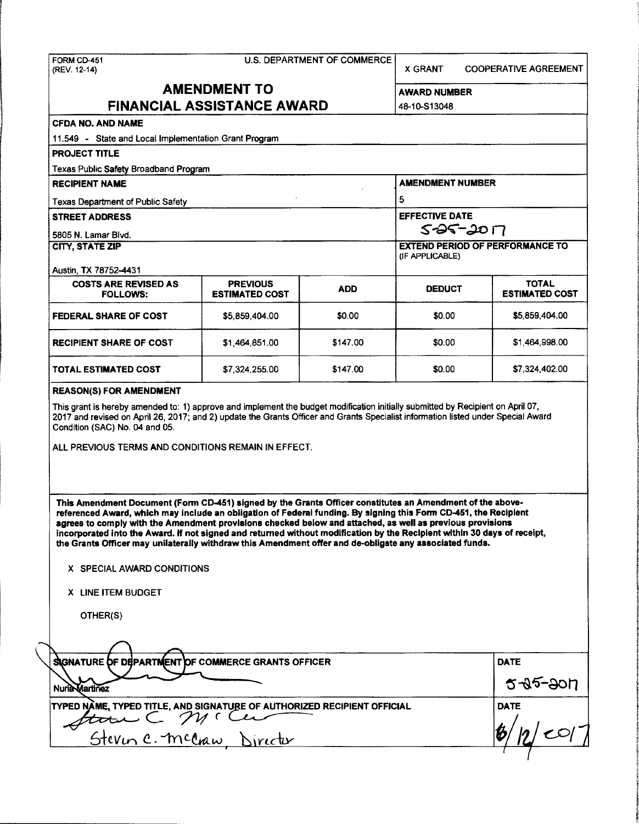# FORM CD-451 U.S. DEPARTMENT OF COMMERCE<br>(REV. 12-14)

X GRANT COOPERATIVE AGREEMENT

## **AMENDMENT TO** AWARD NUMBER FINANCIAL ASSISTANCE AWARD 48-10-S 13048

| שיהתושות בשיהו שושטח בתוסח שונות                               |            |               |                                                           |  |
|----------------------------------------------------------------|------------|---------------|-----------------------------------------------------------|--|
|                                                                |            |               |                                                           |  |
| 11.549 - State and Local Implementation Grant Program          |            |               |                                                           |  |
|                                                                |            |               |                                                           |  |
|                                                                |            |               |                                                           |  |
| Texas Public Safety Broadband Program<br><b>RECIPIENT NAME</b> |            |               |                                                           |  |
| <b>Texas Department of Public Safety</b>                       |            |               |                                                           |  |
| <b>STREET ADDRESS</b>                                          |            |               | <b>EFFECTIVE DATE</b>                                     |  |
| 5805 N. Lamar Blvd.                                            |            |               | $5 - 207$                                                 |  |
| CITY, STATE ZIP                                                |            |               | <b>EXTEND PERIOD OF PERFORMANCE TO</b><br>(IF APPLICABLE) |  |
|                                                                |            |               |                                                           |  |
| <b>PREVIOUS</b><br><b>ESTIMATED COST</b>                       | <b>ADD</b> | <b>DEDUCT</b> | <b>TOTAL</b><br><b>ESTIMATED COST</b>                     |  |
| \$5,859,404.00                                                 | \$0.00     | \$0.00        | \$5,859,404.00                                            |  |
| \$1,464,851.00                                                 | \$147.00   | \$0.00        | \$1,464,998.00                                            |  |
| \$7,324,255.00                                                 | \$147.00   | \$0.00        | \$7,324,402.00                                            |  |
|                                                                |            |               | <b>AMENDMENT NUMBER</b><br>5                              |  |

#### REASON(S) FOR AMENDMENT

This grant is hereby amended to: 1) approve and implement the budget modification initially submitted by Recipient on April 07, 2017 and revised on April 26, 2017; and 2) update the Grants Officer and Grants Specialist information listed under Special Award Condition (SAC) No. 04 and 05.

ALL PREVIOUS TERMS AND CONDITIONS REMAIN IN EFFECT.

This Amendment Document (Fonn CD-451) signed by the Grants Officer constitutes an Amendment of the abovereferenced Award, which may include an obligation of Federal funding. By signing this Fonn CD-451, the Recipient agrees to comply with the Amendment provisions checked below and attached, as well as previous provisions incorporated into the Award. If not signed and returned without modification by the Recipient within 30 days of receipt, the Grants Officer may unilaterally withdraw this Amendment offer and de-obligate any associated funds.

- X SPECIAL AWARD CONDITIONS
- X LINE ITEM BUDGET

OTHER(S)

| SIGNATURE OF DEPARTMENT OF COMMERCE GRANTS OFFICER                      | <b>DATE</b>    |
|-------------------------------------------------------------------------|----------------|
| <b>Nuria Martinez</b>                                                   | $5 - 35 - 30n$ |
| TYPED NAME, TYPED TITLE, AND SIGNATURE OF AUTHORIZED RECIPIENT OFFICIAL | <b>DATE</b>    |
| Steven C. mechan Director                                               |                |